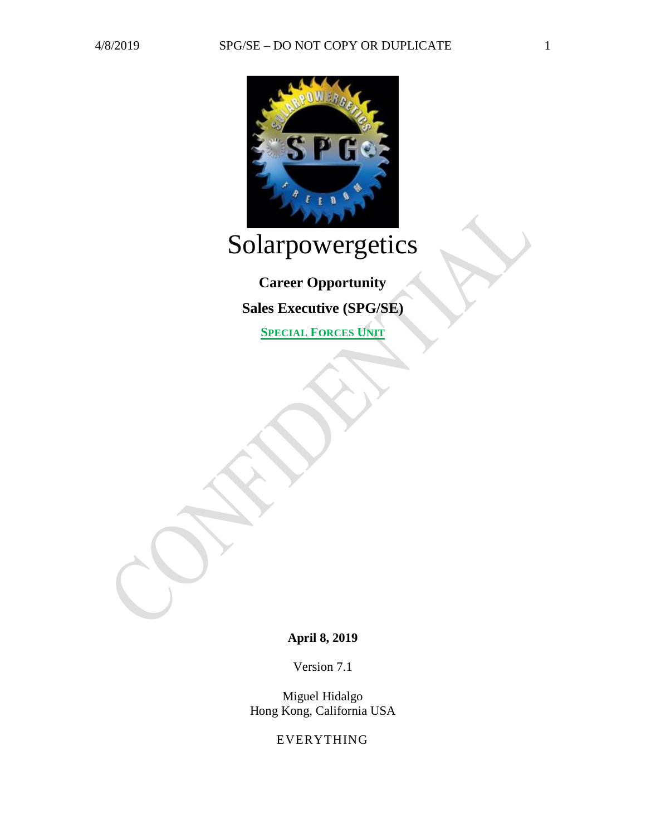

# Solarpowergetics

**Career Opportunity Sales Executive (SPG/SE)**

**SPECIAL FORCES UNIT**

**April 8, 2019**

Version 7.1

Miguel Hidalgo Hong Kong, California USA

EVERYTHING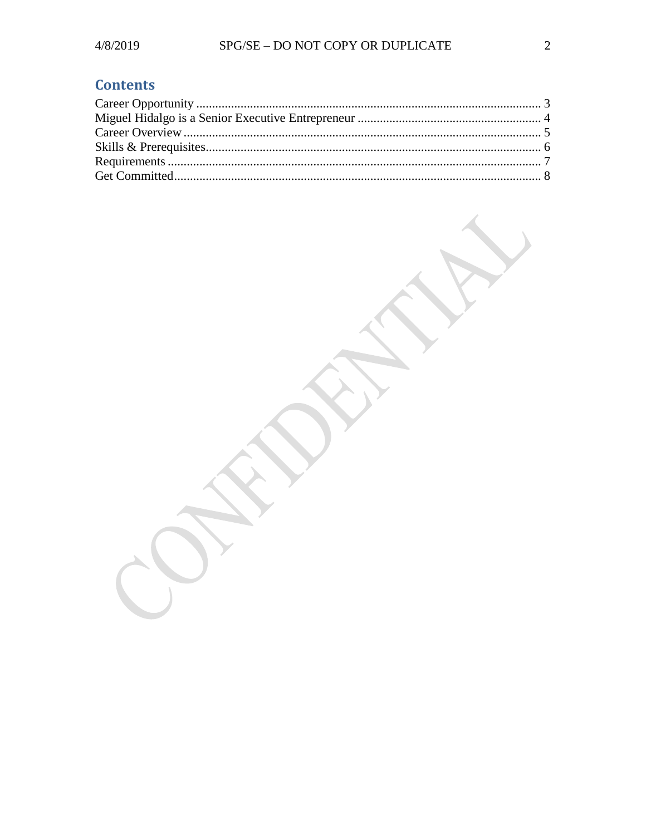# **Contents**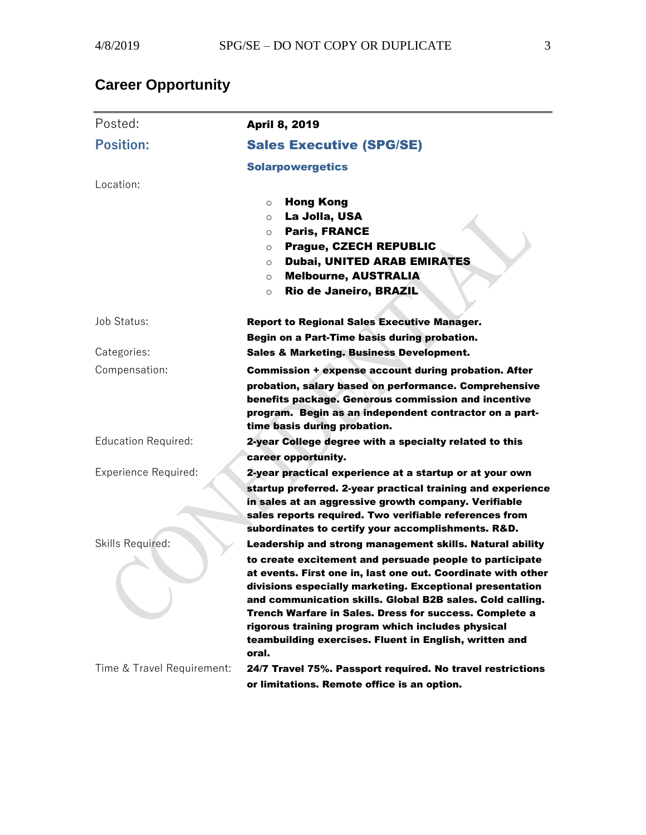# <span id="page-2-0"></span>**Career Opportunity**

| Posted:                     | <b>April 8, 2019</b>                                                                                                                                                                                                                                                                                                                                                                                                                                                                                  |
|-----------------------------|-------------------------------------------------------------------------------------------------------------------------------------------------------------------------------------------------------------------------------------------------------------------------------------------------------------------------------------------------------------------------------------------------------------------------------------------------------------------------------------------------------|
| <b>Position:</b>            | <b>Sales Executive (SPG/SE)</b>                                                                                                                                                                                                                                                                                                                                                                                                                                                                       |
|                             | <b>Solarpowergetics</b>                                                                                                                                                                                                                                                                                                                                                                                                                                                                               |
| Location:                   |                                                                                                                                                                                                                                                                                                                                                                                                                                                                                                       |
|                             | <b>Hong Kong</b><br>$\circ$<br>La Jolla, USA<br>$\circ$<br><b>Paris, FRANCE</b><br>$\circ$<br><b>Prague, CZECH REPUBLIC</b><br>O<br><b>Dubai, UNITED ARAB EMIRATES</b><br>$\circ$<br><b>Melbourne, AUSTRALIA</b><br>$\circ$<br>Rio de Janeiro, BRAZIL<br>$\circ$                                                                                                                                                                                                                                      |
| Job Status:                 | <b>Report to Regional Sales Executive Manager.</b><br>Begin on a Part-Time basis during probation.                                                                                                                                                                                                                                                                                                                                                                                                    |
| Categories:                 | <b>Sales &amp; Marketing. Business Development.</b>                                                                                                                                                                                                                                                                                                                                                                                                                                                   |
| Compensation:               | <b>Commission + expense account during probation. After</b><br>probation, salary based on performance. Comprehensive<br>benefits package. Generous commission and incentive<br>program. Begin as an independent contractor on a part-<br>time basis during probation.                                                                                                                                                                                                                                 |
| <b>Education Required:</b>  | 2-year College degree with a specialty related to this<br>career opportunity.                                                                                                                                                                                                                                                                                                                                                                                                                         |
| <b>Experience Required:</b> | 2-year practical experience at a startup or at your own<br>startup preferred. 2-year practical training and experience<br>in sales at an aggressive growth company. Verifiable<br>sales reports required. Two verifiable references from<br>subordinates to certify your accomplishments. R&D.                                                                                                                                                                                                        |
| Skills Required:            | Leadership and strong management skills. Natural ability<br>to create excitement and persuade people to participate<br>at events. First one in, last one out. Coordinate with other<br>divisions especially marketing. Exceptional presentation<br>and communication skills. Global B2B sales. Cold calling.<br><b>Trench Warfare in Sales. Dress for success. Complete a</b><br>rigorous training program which includes physical<br>teambuilding exercises. Fluent in English, written and<br>oral. |
| Time & Travel Requirement:  | 24/7 Travel 75%. Passport required. No travel restrictions<br>or limitations. Remote office is an option.                                                                                                                                                                                                                                                                                                                                                                                             |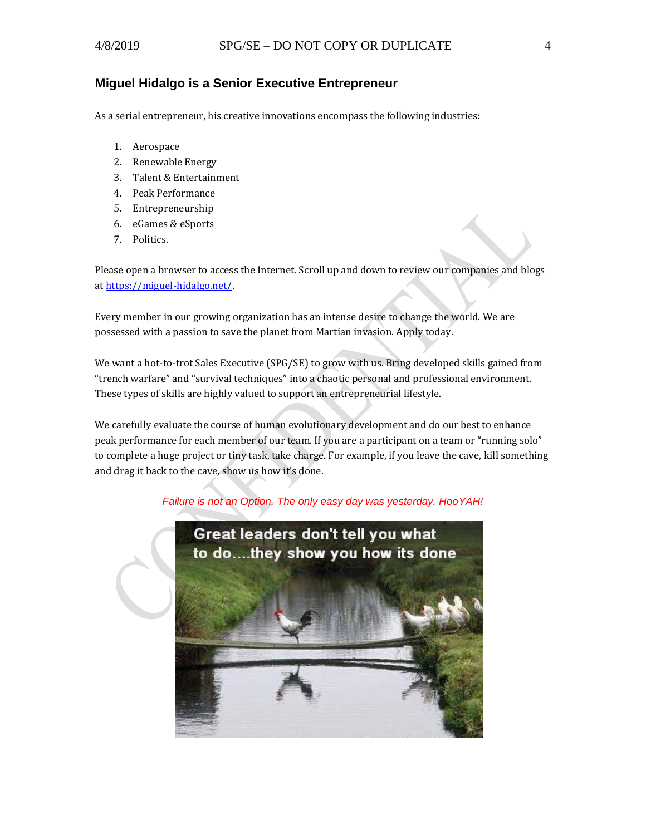#### <span id="page-3-0"></span>**Miguel Hidalgo is a Senior Executive Entrepreneur**

As a serial entrepreneur, his creative innovations encompass the following industries:

- 1. Aerospace
- 2. Renewable Energy
- 3. Talent & Entertainment
- 4. Peak Performance
- 5. Entrepreneurship
- 6. eGames & eSports
- 7. Politics.

Please open a browser to access the Internet. Scroll up and down to review our companies and blogs a[t https://miguel-hidalgo.net/.](https://miguel-hidalgo.net/)

Every member in our growing organization has an intense desire to change the world. We are possessed with a passion to save the planet from Martian invasion. Apply today.

We want a hot-to-trot Sales Executive (SPG/SE) to grow with us. Bring developed skills gained from "trench warfare" and "survival techniques" into a chaotic personal and professional environment. These types of skills are highly valued to support an entrepreneurial lifestyle.

We carefully evaluate the course of human evolutionary development and do our best to enhance peak performance for each member of our team. If you are a participant on a team or "running solo" to complete a huge project or tiny task, take charge. For example, if you leave the cave, kill something and drag it back to the cave, show us how it's done.

*Failure is not an Option. The only easy day was yesterday. HooYAH!*

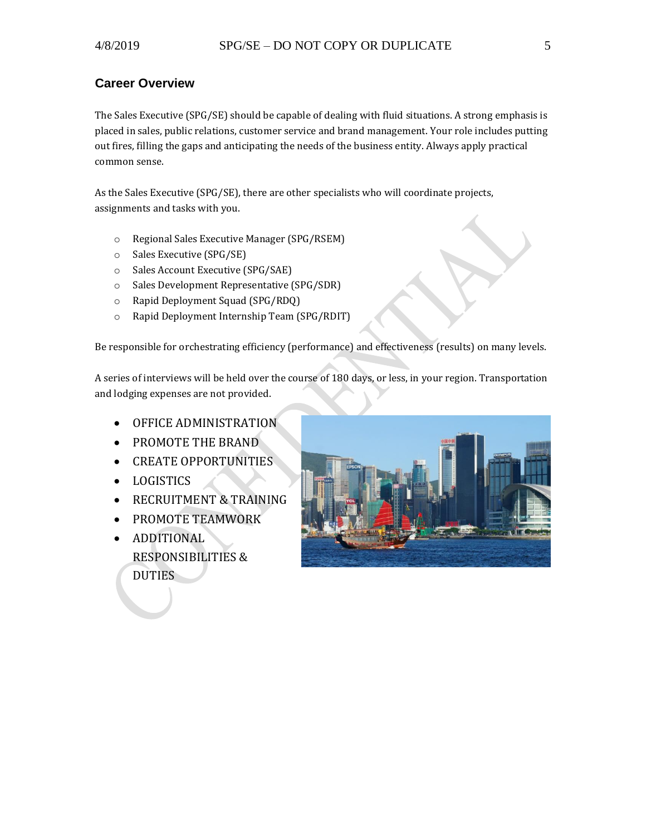### <span id="page-4-0"></span>**Career Overview**

The Sales Executive (SPG/SE) should be capable of dealing with fluid situations. A strong emphasis is placed in sales, public relations, customer service and brand management. Your role includes putting out fires, filling the gaps and anticipating the needs of the business entity. Always apply practical common sense.

As the Sales Executive (SPG/SE), there are other specialists who will coordinate projects, assignments and tasks with you.

- o Regional Sales Executive Manager (SPG/RSEM)
- o Sales Executive (SPG/SE)
- o Sales Account Executive (SPG/SAE)
- o Sales Development Representative (SPG/SDR)
- o Rapid Deployment Squad (SPG/RDQ)
- o Rapid Deployment Internship Team (SPG/RDIT)

Be responsible for orchestrating efficiency (performance) and effectiveness (results) on many levels.

A series of interviews will be held over the course of 180 days, or less, in your region. Transportation and lodging expenses are not provided.

- OFFICE ADMINISTRATION
- PROMOTE THE BRAND
- CREATE OPPORTUNITIES
- LOGISTICS
- RECRUITMENT & TRAINING
- PROMOTE TEAMWORK
- ADDITIONAL RESPONSIBILITIES & DUTIES

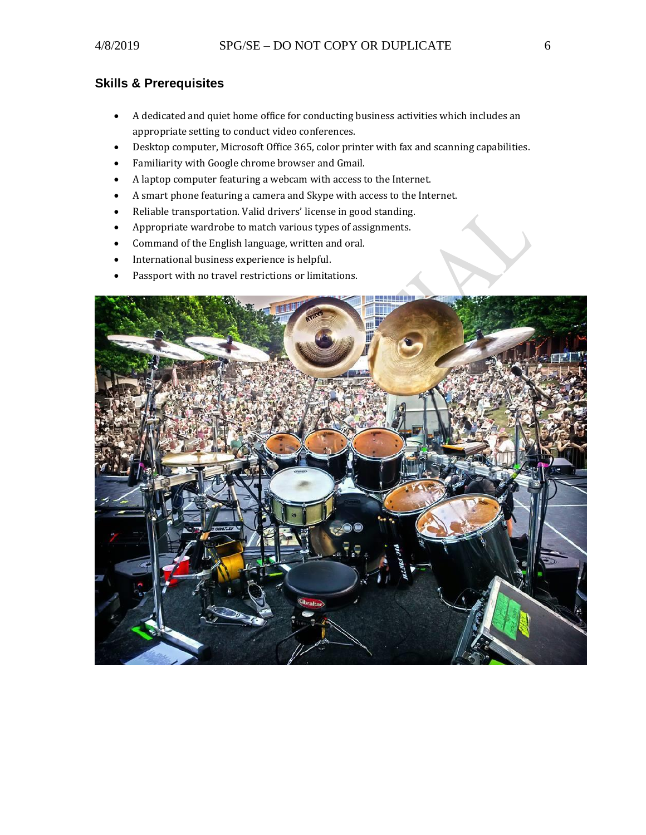## <span id="page-5-0"></span>**Skills & Prerequisites**

- A dedicated and quiet home office for conducting business activities which includes an appropriate setting to conduct video conferences.
- Desktop computer, Microsoft Office 365, color printer with fax and scanning capabilities.
- Familiarity with Google chrome browser and Gmail.
- A laptop computer featuring a webcam with access to the Internet.
- A smart phone featuring a camera and Skype with access to the Internet.
- Reliable transportation. Valid drivers' license in good standing.
- Appropriate wardrobe to match various types of assignments.
- Command of the English language, written and oral.
- International business experience is helpful.
- Passport with no travel restrictions or limitations.

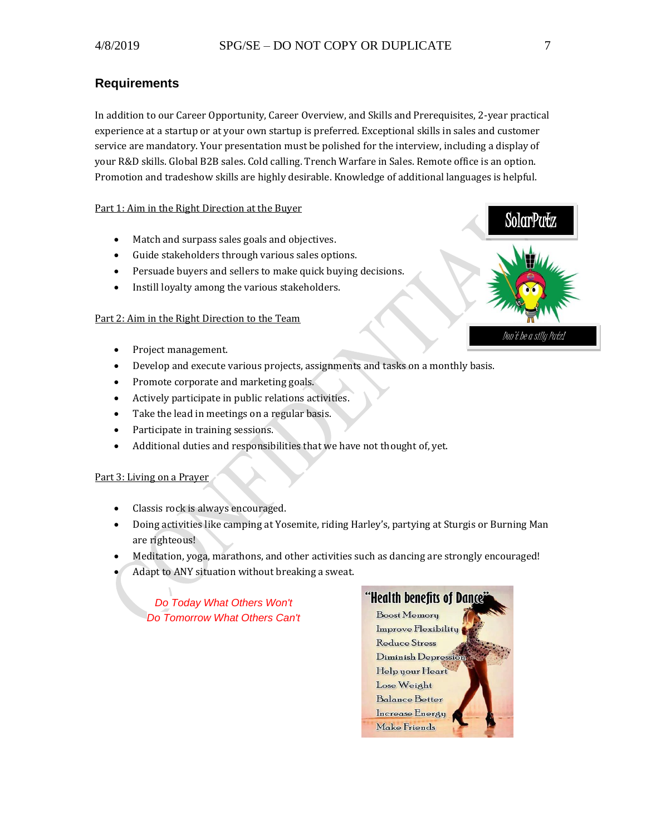#### <span id="page-6-0"></span>**Requirements**

In addition to our Career Opportunity, Career Overview, and Skills and Prerequisites, 2-year practical experience at a startup or at your own startup is preferred. Exceptional skills in sales and customer service are mandatory. Your presentation must be polished for the interview, including a display of your R&D skills. Global B2B sales. Cold calling. Trench Warfare in Sales. Remote office is an option. Promotion and tradeshow skills are highly desirable. Knowledge of additional languages is helpful.

#### Part 1: Aim in the Right Direction at the Buyer

- Match and surpass sales goals and objectives.
- Guide stakeholders through various sales options.
- Persuade buyers and sellers to make quick buying decisions.
- Instill loyalty among the various stakeholders.

#### Part 2: Aim in the Right Direction to the Team

- Project management.
- Develop and execute various projects, assignments and tasks on a monthly basis.
- Promote corporate and marketing goals.
- Actively participate in public relations activities.
- Take the lead in meetings on a regular basis.
- Participate in training sessions.
- Additional duties and responsibilities that we have not thought of, yet.

#### Part 3: Living on a Prayer

- Classis rock is always encouraged.
- Doing activities like camping at Yosemite, riding Harley's, partying at Sturgis or Burning Man are righteous!
- Meditation, yoga, marathons, and other activities such as dancing are strongly encouraged!
- Adapt to ANY situation without breaking a sweat.

*Do Today What Others Won't Do Tomorrow What Others Can't* 





```
Don't be a silly Putz!
```